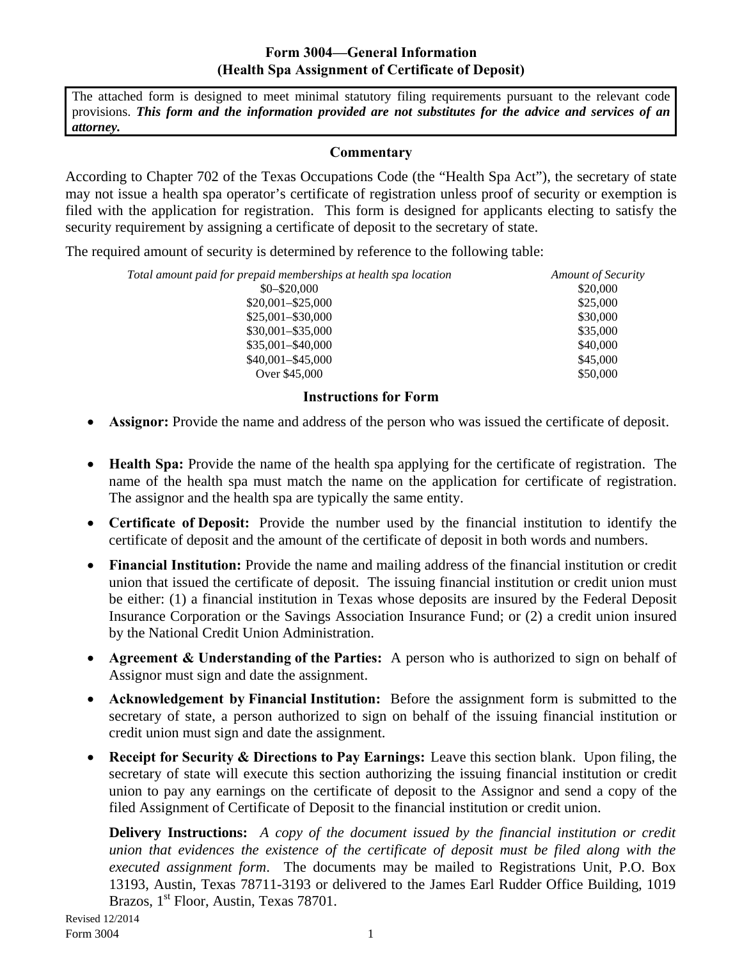## **Form 3004—General Information (Health Spa Assignment of Certificate of Deposit)**

The attached form is designed to meet minimal statutory filing requirements pursuant to the relevant code provisions. *This form and the information provided are not substitutes for the advice and services of an attorney.*

### **Commentary**

According to Chapter 702 of the Texas Occupations Code (the "Health Spa Act"), the secretary of state may not issue a health spa operator's certificate of registration unless proof of security or exemption is filed with the application for registration. This form is designed for applicants electing to satisfy the security requirement by assigning a certificate of deposit to the secretary of state.

The required amount of security is determined by reference to the following table:

| Total amount paid for prepaid memberships at health spa location | <b>Amount of Security</b> |  |  |
|------------------------------------------------------------------|---------------------------|--|--|
| $$0 - $20,000$                                                   | \$20,000                  |  |  |
| $$20,001 - $25,000$                                              | \$25,000                  |  |  |
| $$25,001 - $30,000$                                              | \$30,000                  |  |  |
| $$30,001 - $35,000$                                              | \$35,000                  |  |  |
| $$35,001 - $40,000$                                              | \$40,000                  |  |  |
| $$40,001 - $45,000$                                              | \$45,000                  |  |  |
| Over \$45,000                                                    | \$50,000                  |  |  |

### **Instructions for Form**

- **Assignor:** Provide the name and address of the person who was issued the certificate of deposit.
- **Health Spa:** Provide the name of the health spa applying for the certificate of registration. The name of the health spa must match the name on the application for certificate of registration. The assignor and the health spa are typically the same entity.
- **Certificate of Deposit:** Provide the number used by the financial institution to identify the certificate of deposit and the amount of the certificate of deposit in both words and numbers.
- **Financial Institution:** Provide the name and mailing address of the financial institution or credit union that issued the certificate of deposit. The issuing financial institution or credit union must be either: (1) a financial institution in Texas whose deposits are insured by the Federal Deposit Insurance Corporation or the Savings Association Insurance Fund; or (2) a credit union insured by the National Credit Union Administration.
- **Agreement & Understanding of the Parties:** A person who is authorized to sign on behalf of Assignor must sign and date the assignment.
- **Acknowledgement by Financial Institution:** Before the assignment form is submitted to the secretary of state, a person authorized to sign on behalf of the issuing financial institution or credit union must sign and date the assignment.
- **Receipt for Security & Directions to Pay Earnings:** Leave this section blank. Upon filing, the secretary of state will execute this section authorizing the issuing financial institution or credit union to pay any earnings on the certificate of deposit to the Assignor and send a copy of the filed Assignment of Certificate of Deposit to the financial institution or credit union.

**Delivery Instructions:** *A copy of the document issued by the financial institution or credit union that evidences the existence of the certificate of deposit must be filed along with the executed assignment form*. The documents may be mailed to Registrations Unit, P.O. Box 13193, Austin, Texas 78711-3193 or delivered to the James Earl Rudder Office Building, 1019 Brazos, 1<sup>st</sup> Floor, Austin, Texas 78701.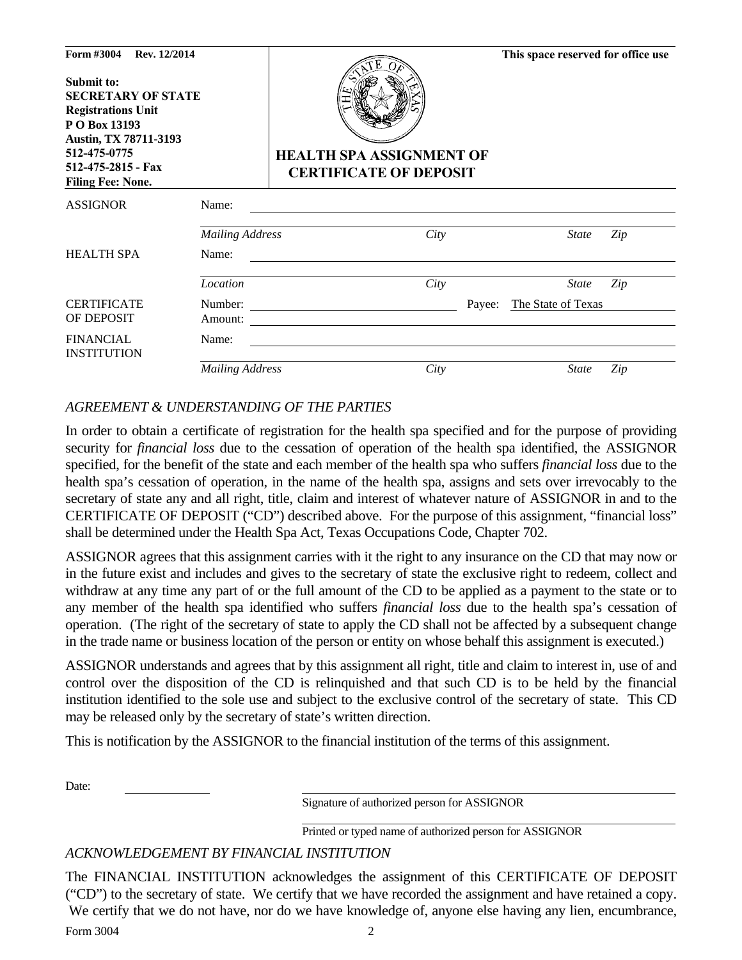| Form #3004<br>Rev. 12/2014<br>Submit to:<br><b>SECRETARY OF STATE</b><br><b>Registrations Unit</b><br>P O Box 13193<br>Austin, TX 78711-3193<br>512-475-0775<br>512-475-2815 - Fax<br><b>Filing Fee: None.</b> |                        | <b>HEALTH SPA ASSIGNMENT OF</b><br><b>CERTIFICATE OF DEPOSIT</b> |        | This space reserved for office use |     |
|----------------------------------------------------------------------------------------------------------------------------------------------------------------------------------------------------------------|------------------------|------------------------------------------------------------------|--------|------------------------------------|-----|
| <b>ASSIGNOR</b>                                                                                                                                                                                                | Name:                  |                                                                  |        |                                    |     |
|                                                                                                                                                                                                                | <b>Mailing Address</b> | City                                                             |        | <b>State</b>                       | Zip |
| <b>HEALTH SPA</b>                                                                                                                                                                                              | Name:                  |                                                                  |        |                                    |     |
|                                                                                                                                                                                                                | Location               | City                                                             |        | <b>State</b>                       | Zip |
| <b>CERTIFICATE</b><br>OF DEPOSIT                                                                                                                                                                               | Number:<br>Amount:     |                                                                  | Payee: | The State of Texas                 |     |
| <b>FINANCIAL</b><br><b>INSTITUTION</b>                                                                                                                                                                         | Name:                  |                                                                  |        |                                    |     |
|                                                                                                                                                                                                                | <b>Mailing Address</b> | City                                                             |        | <b>State</b>                       | Zip |

# *AGREEMENT & UNDERSTANDING OF THE PARTIES*

In order to obtain a certificate of registration for the health spa specified and for the purpose of providing security for *financial loss* due to the cessation of operation of the health spa identified, the ASSIGNOR specified, for the benefit of the state and each member of the health spa who suffers *financial loss* due to the health spa's cessation of operation, in the name of the health spa, assigns and sets over irrevocably to the secretary of state any and all right, title, claim and interest of whatever nature of ASSIGNOR in and to the CERTIFICATE OF DEPOSIT ("CD") described above. For the purpose of this assignment, "financial loss" shall be determined under the Health Spa Act, Texas Occupations Code, Chapter 702.

ASSIGNOR agrees that this assignment carries with it the right to any insurance on the CD that may now or in the future exist and includes and gives to the secretary of state the exclusive right to redeem, collect and withdraw at any time any part of or the full amount of the CD to be applied as a payment to the state or to any member of the health spa identified who suffers *financial loss* due to the health spa's cessation of operation. (The right of the secretary of state to apply the CD shall not be affected by a subsequent change in the trade name or business location of the person or entity on whose behalf this assignment is executed.)

ASSIGNOR understands and agrees that by this assignment all right, title and claim to interest in, use of and control over the disposition of the CD is relinquished and that such CD is to be held by the financial institution identified to the sole use and subject to the exclusive control of the secretary of state. This CD may be released only by the secretary of state's written direction.

This is notification by the ASSIGNOR to the financial institution of the terms of this assignment.

Date:

Signature of authorized person for ASSIGNOR

Printed or typed name of authorized person for ASSIGNOR

### *ACKNOWLEDGEMENT BY FINANCIAL INSTITUTION*

The FINANCIAL INSTITUTION acknowledges the assignment of this CERTIFICATE OF DEPOSIT ("CD") to the secretary of state. We certify that we have recorded the assignment and have retained a copy. We certify that we do not have, nor do we have knowledge of, anyone else having any lien, encumbrance,

Form 3004 2